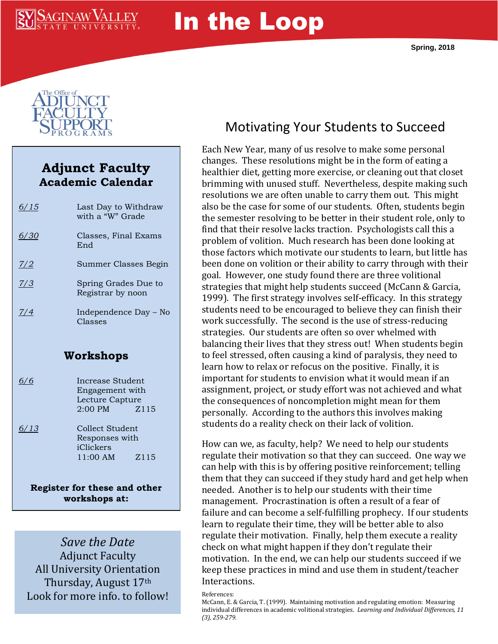

# In the Loop



## **Adjunct Faculty Academic Calendar**

| 6/15      | Last Day to Withdraw<br>with a "W" Grade                                            |  |
|-----------|-------------------------------------------------------------------------------------|--|
| 6/30      | Classes, Final Exams<br>End                                                         |  |
| Z/2       | Summer Classes Begin                                                                |  |
| 7/3       | Spring Grades Due to<br>Registrar by noon                                           |  |
| 7/4       | Independence Day – No<br>Classes                                                    |  |
| Workshops |                                                                                     |  |
| 6/6       | Increase Student<br>Engagement with<br>Lecture Capture<br>$2:00 \text{ PM}$<br>Z115 |  |
| 6/13      | Collect Student<br>Responses with<br>iClickers<br>11:00 AM<br>Z115                  |  |

**Register for these and other workshops at: svsu.edu/workshops**

*Save the Date* Adjunct Faculty All University Orientation Thursday, August 17th Look for more info. to follow!

# Motivating Your Students to Succeed

Each New Year, many of us resolve to make some personal changes. These resolutions might be in the form of eating a healthier diet, getting more exercise, or cleaning out that closet brimming with unused stuff. Nevertheless, despite making such resolutions we are often unable to carry them out. This might also be the case for some of our students. Often, students begin the semester resolving to be better in their student role, only to find that their resolve lacks traction. Psychologists call this a problem of volition. Much research has been done looking at those factors which motivate our students to learn, but little has been done on volition or their ability to carry through with their goal. However, one study found there are three volitional strategies that might help students succeed (McCann & Garcia, 1999). The first strategy involves self-efficacy. In this strategy students need to be encouraged to believe they can finish their work successfully. The second is the use of stress-reducing strategies. Our students are often so over whelmed with balancing their lives that they stress out! When students begin to feel stressed, often causing a kind of paralysis, they need to learn how to relax or refocus on the positive. Finally, it is important for students to envision what it would mean if an assignment, project, or study effort was not achieved and what the consequences of noncompletion might mean for them personally. According to the authors this involves making students do a reality check on their lack of volition.

How can we, as faculty, help? We need to help our students regulate their motivation so that they can succeed. One way we can help with this is by offering positive reinforcement; telling them that they can succeed if they study hard and get help when needed. Another is to help our students with their time management. Procrastination is often a result of a fear of failure and can become a self-fulfilling prophecy. If our students learn to regulate their time, they will be better able to also regulate their motivation. Finally, help them execute a reality check on what might happen if they don't regulate their motivation. In the end, we can help our students succeed if we keep these practices in mind and use them in student/teacher Interactions.

#### References:

McCann, E. & Garcia, T. (1999). Maintaining motivation and regulating emotion: Measuring individual differences in academic volitional strategies. *Learning and Individual Differences, 11 (3), 259-279.*